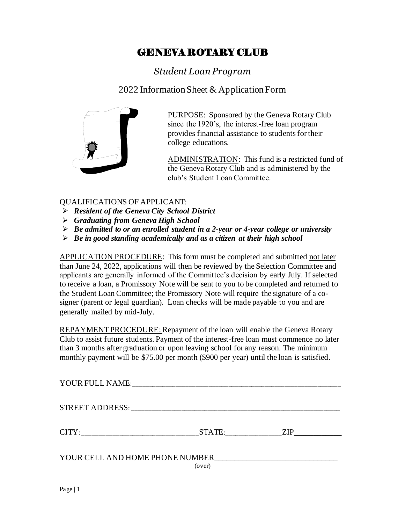## GENEVA ROTARY CLUB

*Student Loan Program*

## 2022 Information Sheet & Application Form



PURPOSE: Sponsored by the Geneva Rotary Club since the 1920's, the interest-free loan program provides financial assistance to students for their college educations.

ADMINISTRATION: This fund is a restricted fund of the Geneva Rotary Club and is administered by the club's Student Loan Committee.

## QUALIFICATIONS OF APPLICANT:

- ➢ *Resident of the Geneva City School District*
- ➢ *Graduating from Geneva High School*
- ➢ *Be admitted to or an enrolled student in a 2-year or 4-year college or university*
- ➢ *Be in good standing academically and as a citizen at their high school*

APPLICATION PROCEDURE: This form must be completed and submitted not later than June 24, 2022, applications will then be reviewed by the Selection Committee and applicants are generally informed of the Committee's decision by early July. If selected to receive a loan, a Promissory Note will be sent to you to be completed and returned to the Student Loan Committee; the Promissory Note will require the signature of a cosigner (parent or legal guardian). Loan checks will be made payable to you and are generally mailed by mid-July.

REPAYMENT PROCEDURE: Repayment of the loan will enable the Geneva Rotary Club to assist future students. Payment of the interest-free loan must commence no later than 3 months after graduation or upon leaving school for any reason. The minimum monthly payment will be \$75.00 per month (\$900 per year) until the loan is satisfied.

| YOUR FULL NAME:                           |        |     |
|-------------------------------------------|--------|-----|
| STREET ADDRESS:                           |        |     |
| CITY:                                     | STATE: | ZIP |
| YOUR CELL AND HOME PHONE NUMBER<br>(over) |        |     |